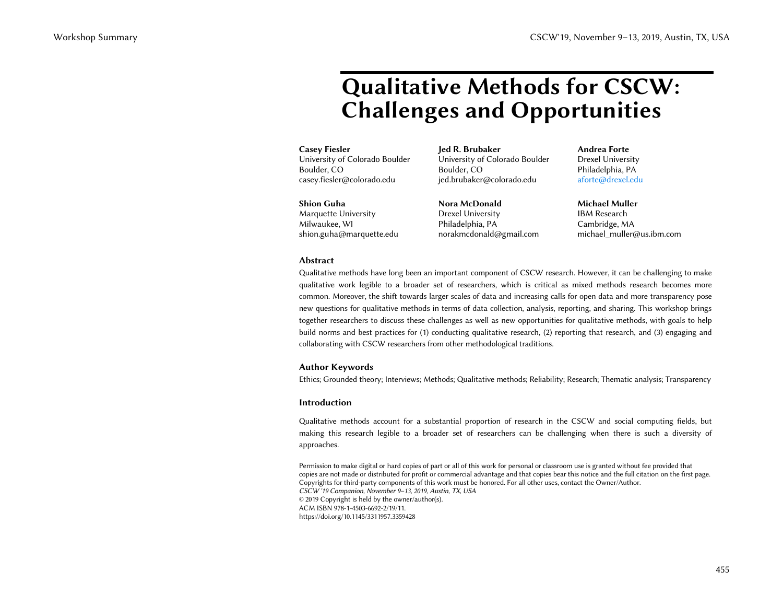# **Qualitative Methods for CSCW: Challenges and Opportunities**

# **Casey Fiesler**

University of Colorado Boulder Boulder, CO casey.fiesler@colorado.edu

**Shion Guha** Marquette University Milwaukee, WI shion.guha@marquette.edu **Jed R. Brubaker** University of Colorado Boulder Boulder, CO jed.brubaker@colorado.edu

**Nora McDonald** Drexel University Philadelphia, PA norakmcdonald@gmail.com **Andrea Forte** Drexel University Philadelphia, PA aforte@drexel.edu

**Michael Muller** IBM Research Cambridge, MA michael\_muller@us.ibm.com

## **Abstract**

Qualitative methods have long been an important component of CSCW research. However, it can be challenging to make qualitative work legible to a broader set of researchers, which is critical as mixed methods research becomes more common. Moreover, the shift towards larger scales of data and increasing calls for open data and more transparency pose new questions for qualitative methods in terms of data collection, analysis, reporting, and sharing. This workshop brings together researchers to discuss these challenges as well as new opportunities for qualitative methods, with goals to help build norms and best practices for (1) conducting qualitative research, (2) reporting that research, and (3) engaging and collaborating with CSCW researchers from other methodological traditions. CSCW'Is, Coemics Constrained Constrained Coemics Anti-<br>
Challenges and Opportunities<br>
Constraint Coemics and Coemics Anti-<br>
Constraint Coemics Anti-<br>
Constraint Coemics Anti-<br>
Constraint Coemics Anti-<br>
Constraint Coemics

# **Author Keywords**

Ethics; Grounded theory; Interviews; Methods; Qualitative methods; Reliability; Research; Thematic analysis; Transparency

# **Introduction**

Qualitative methods account for a substantial proportion of research in the CSCW and social computing fields, but making this research legible to a broader set of researchers can be challenging when there is such a diversity of approaches.

Permission to make digital or hard copies of part or all of this work for personal or classroom use is granted without fee provided that copies are not made or distributed for profit or commercial advantage and that copies bear this notice and the full citation on the first page. Copyrights for third-party components of this work must be honored. For all other uses, contact the Owner/Author. *CSCW '19 Companion, November 9–13, 2019, Austin, TX, USA*  © 2019 Copyright is held by the owner/author(s). ACM ISBN 978-1-4503-6692-2/19/11. https://doi.org/10.1145/3311957.3359428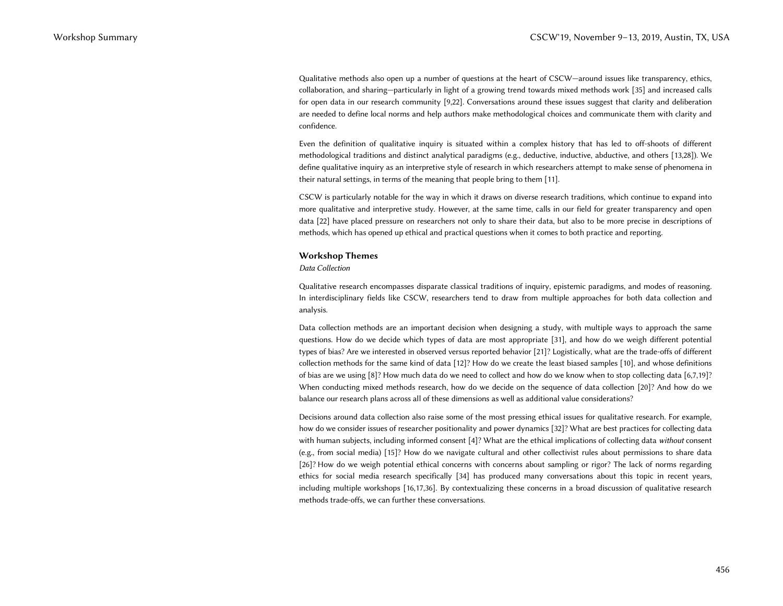Qualitative methods also open up a number of questions at the heart of CSCW—around issues like transparency, ethics, collaboration, and sharing—particularly in light of a growing trend towards mixed methods work [35] and increased calls for open data in our research community [9,22]. Conversations around these issues suggest that clarity and deliberation are needed to define local norms and help authors make methodological choices and communicate them with clarity and confidence.

Even the definition of qualitative inquiry is situated within a complex history that has led to off-shoots of different methodological traditions and distinct analytical paradigms (e.g., deductive, inductive, abductive, and others [13,28]). We define qualitative inquiry as an interpretive style of research in which researchers attempt to make sense of phenomena in their natural settings, in terms of the meaning that people bring to them [11].

CSCW is particularly notable for the way in which it draws on diverse research traditions, which continue to expand into more qualitative and interpretive study. However, at the same time, calls in our field for greater transparency and open data [22] have placed pressure on researchers not only to share their data, but also to be more precise in descriptions of methods, which has opened up ethical and practical questions when it comes to both practice and reporting.

### **Workshop Themes**

#### *Data Collection*

Qualitative research encompasses disparate classical traditions of inquiry, epistemic paradigms, and modes of reasoning. In interdisciplinary fields like CSCW, researchers tend to draw from multiple approaches for both data collection and analysis.

Data collection methods are an important decision when designing a study, with multiple ways to approach the same questions. How do we decide which types of data are most appropriate [31], and how do we weigh different potential types of bias? Are we interested in observed versus reported behavior [21]? Logistically, what are the trade-offs of different collection methods for the same kind of data [12]? How do we create the least biased samples [10], and whose definitions of bias are we using [8]? How much data do we need to collect and how do we know when to stop collecting data [6,7,19]? When conducting mixed methods research, how do we decide on the sequence of data collection [20]? And how do we balance our research plans across all of these dimensions as well as additional value considerations?

Decisions around data collection also raise some of the most pressing ethical issues for qualitative research. For example, how do we consider issues of researcher positionality and power dynamics [32]? What are best practices for collecting data with human subjects, including informed consent [4]? What are the ethical implications of collecting data *without* consent (e.g., from social media) [15]? How do we navigate cultural and other collectivist rules about permissions to share data [26]? How do we weigh potential ethical concerns with concerns about sampling or rigor? The lack of norms regarding ethics for social media research specifically [34] has produced many conversations about this topic in recent years, including multiple workshops [16,17,36]. By contextualizing these concerns in a broad discussion of qualitative research methods trade-offs, we can further these conversations. CSCW'19, Sourcester 3-13, 2019, Australia, 1913, 2019, 2013, 2013, 2013, 2013, 2013, 2013, 2013, 2013, 2013, 2013, 2013, 2013, 2013, 2013, 2013, 2013, 2013, 2013, 2013, 2013, 2013, 2013, 2013, 2013, 2013, 2013, 2013, 2013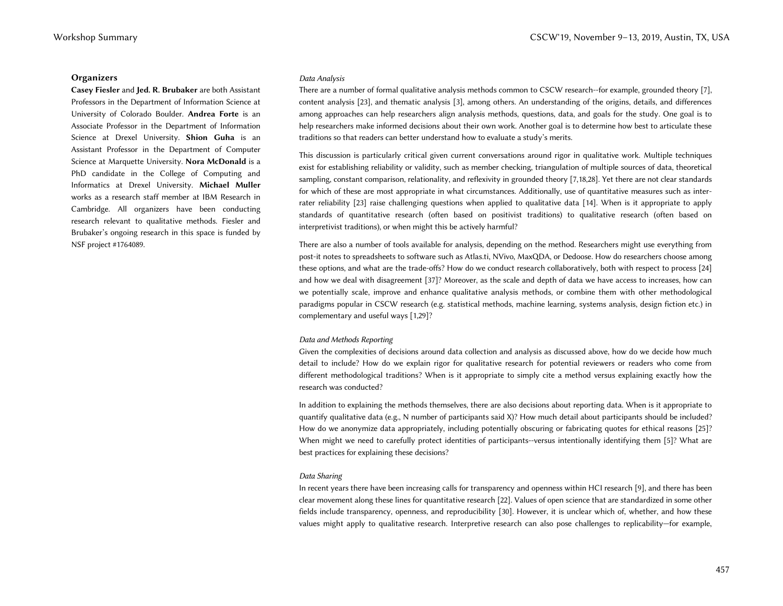## **Organizers**

**Casey Fiesler** and **Jed. R. Brubaker** are both Assistant Professors in the Department of Information Science at University of Colorado Boulder. **Andrea Forte** is an Associate Professor in the Department of Information Science at Drexel University. **Shion Guha** is an Assistant Professor in the Department of Computer Science at Marquette University. **Nora McDonald** is a PhD candidate in the College of Computing and Informatics at Drexel University. **Michael Muller** works as a research staff member at IBM Research in Cambridge. All organizers have been conducting research relevant to qualitative methods. Fiesler and Brubaker's ongoing research in this space is funded by NSF project #1764089.

## *Data Analysis*

There are a number of formal qualitative analysis methods common to CSCW research--for example, grounded theory [7], content analysis [23], and thematic analysis [3], among others. An understanding of the origins, details, and differences among approaches can help researchers align analysis methods, questions, data, and goals for the study. One goal is to help researchers make informed decisions about their own work. Another goal is to determine how best to articulate these traditions so that readers can better understand how to evaluate a study's merits.

This discussion is particularly critical given current conversations around rigor in qualitative work. Multiple techniques exist for establishing reliability or validity, such as member checking, triangulation of multiple sources of data, theoretical sampling, constant comparison, relationality, and reflexivity in grounded theory [7,18,28]. Yet there are not clear standards for which of these are most appropriate in what circumstances. Additionally, use of quantitative measures such as interrater reliability [23] raise challenging questions when applied to qualitative data [14]. When is it appropriate to apply standards of quantitative research (often based on positivist traditions) to qualitative research (often based on interpretivist traditions), or when might this be actively harmful?

There are also a number of tools available for analysis, depending on the method. Researchers might use everything from post-it notes to spreadsheets to software such as Atlas.ti, NVivo, MaxQDA, or Dedoose. How do researchers choose among these options, and what are the trade-offs? How do we conduct research collaboratively, both with respect to process [24] and how we deal with disagreement [37]? Moreover, as the scale and depth of data we have access to increases, how can we potentially scale, improve and enhance qualitative analysis methods, or combine them with other methodological paradigms popular in CSCW research (e.g. statistical methods, machine learning, systems analysis, design fiction etc.) in complementary and useful ways [1,29]? Workshop Summary ( $\sim$  GeW) is, Australia ( $\sim$  Material) ( $\sim$  Material) ( $\sim$  Material) ( $\sim$  Material) ( $\sim$  Material) ( $\sim$  Material) ( $\sim$  Material) ( $\sim$  Material) ( $\sim$  Material) ( $\sim$  Material) ( $\sim$  Material) ( $\$ 

# *Data and Methods Reporting*

Given the complexities of decisions around data collection and analysis as discussed above, how do we decide how much detail to include? How do we explain rigor for qualitative research for potential reviewers or readers who come from different methodological traditions? When is it appropriate to simply cite a method versus explaining exactly how the research was conducted?

In addition to explaining the methods themselves, there are also decisions about reporting data. When is it appropriate to quantify qualitative data (e.g., N number of participants said X)? How much detail about participants should be included? How do we anonymize data appropriately, including potentially obscuring or fabricating quotes for ethical reasons [25]? When might we need to carefully protect identities of participants--versus intentionally identifying them [5]? What are best practices for explaining these decisions?

# *Data Sharing*

In recent years there have been increasing calls for transparency and openness within HCI research [9], and there has been clear movement along these lines for quantitative research [22]. Values of open science that are standardized in some other fields include transparency, openness, and reproducibility [30]. However, it is unclear which of, whether, and how these values might apply to qualitative research. Interpretive research can also pose challenges to replicability—for example,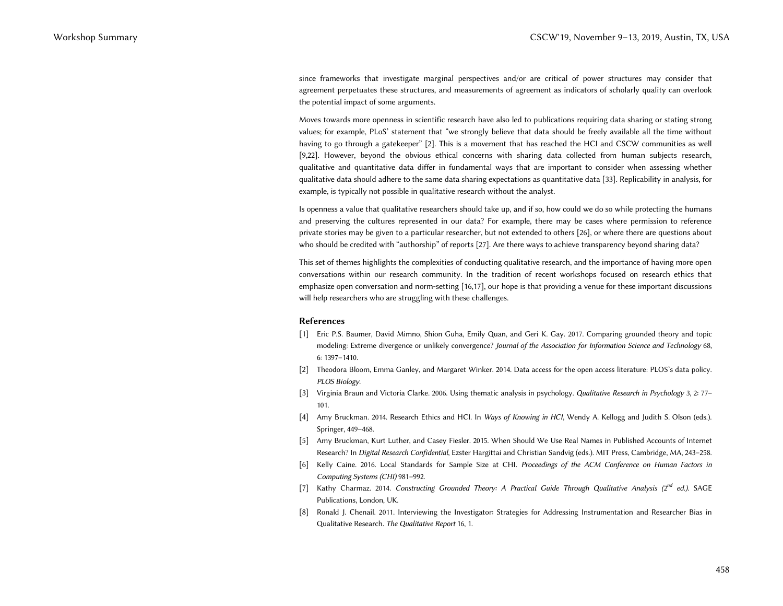since frameworks that investigate marginal perspectives and/or are critical of power structures may consider that agreement perpetuates these structures, and measurements of agreement as indicators of scholarly quality can overlook the potential impact of some arguments.

Moves towards more openness in scientific research have also led to publications requiring data sharing or stating strong values; for example, PLoS' statement that "we strongly believe that data should be freely available all the time without having to go through a gatekeeper" [2]. This is a movement that has reached the HCI and CSCW communities as well [9,22]. However, beyond the obvious ethical concerns with sharing data collected from human subjects research, qualitative and quantitative data differ in fundamental ways that are important to consider when assessing whether qualitative data should adhere to the same data sharing expectations as quantitative data [33]. Replicability in analysis, for example, is typically not possible in qualitative research without the analyst. CSCW'19, Summary CSCW'19, November 9–13, 2019, November 9–13, 2019, November 9–13, 2019, Austin, TX, USA<br>
wymerand representation of a measurement of the measurement of the measurement of austral particular particular the

Is openness a value that qualitative researchers should take up, and if so, how could we do so while protecting the humans and preserving the cultures represented in our data? For example, there may be cases where permission to reference private stories may be given to a particular researcher, but not extended to others [26], or where there are questions about who should be credited with "authorship" of reports [27]. Are there ways to achieve transparency beyond sharing data?

This set of themes highlights the complexities of conducting qualitative research, and the importance of having more open conversations within our research community. In the tradition of recent workshops focused on research ethics that emphasize open conversation and norm-setting [16,17], our hope is that providing a venue for these important discussions will help researchers who are struggling with these challenges.

#### **References**

- [1] Eric P.S. Baumer, David Mimno, Shion Guha, Emily Quan, and Geri K. Gay. 2017. Comparing grounded theory and topic modeling: Extreme divergence or unlikely convergence? *Journal of the Association for Information Science and Technology* 68, 6: 1397–1410.
- [2] Theodora Bloom, Emma Ganley, and Margaret Winker. 2014. Data access for the open access literature: PLOS's data policy. *PLOS Biology*.
- [3] Virginia Braun and Victoria Clarke. 2006. Using thematic analysis in psychology. *Qualitative Research in Psychology* 3, 2: 77– 101.
- [4] Amy Bruckman. 2014. Research Ethics and HCI. In *Ways of Knowing in HCI*, Wendy A. Kellogg and Judith S. Olson (eds.). Springer, 449–468.
- [5] Amy Bruckman, Kurt Luther, and Casey Fiesler. 2015. When Should We Use Real Names in Published Accounts of Internet Research? In *Digital Research Confidential*, Ezster Hargittai and Christian Sandvig (eds.). MIT Press, Cambridge, MA, 243–258.
- [6] Kelly Caine. 2016. Local Standards for Sample Size at CHI. *Proceedings of the ACM Conference on Human Factors in Computing Systems (CHI)* 981–992.
- [7] Kathy Charmaz. 2014. *Constructing Grounded Theory: A Practical Guide Through Qualitative Analysis (2nd ed.)*. SAGE Publications, London, UK.
- [8] Ronald J. Chenail. 2011. Interviewing the Investigator: Strategies for Addressing Instrumentation and Researcher Bias in Qualitative Research. *The Qualitative Report* 16, 1.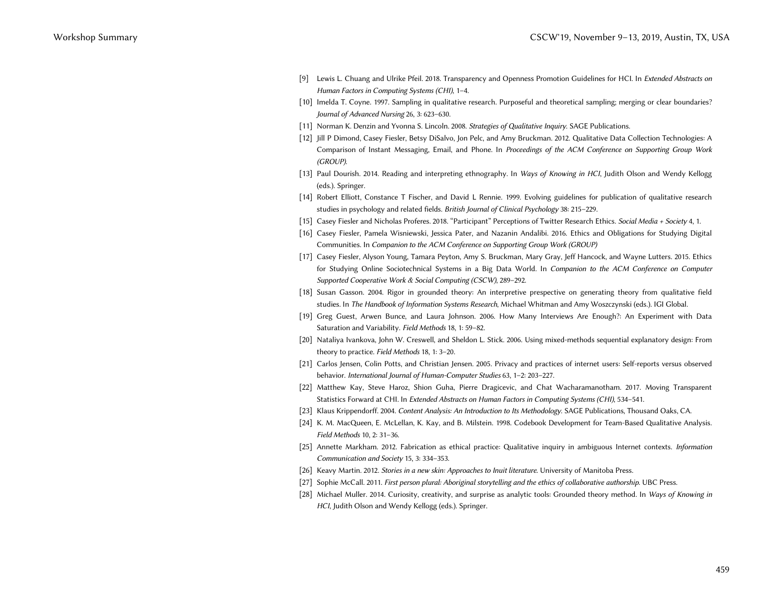- [9] Lewis L. Chuang and Ulrike Pfeil. 2018. Transparency and Openness Promotion Guidelines for HCI. In *Extended Abstracts on Human Factors in Computing Systems (CHI)*, 1–4.
- [10] Imelda T. Coyne. 1997. Sampling in qualitative research. Purposeful and theoretical sampling; merging or clear boundaries? *Journal of Advanced Nursing* 26, 3: 623–630.
- [11] Norman K. Denzin and Yvonna S. Lincoln. 2008. *Strategies of Qualitative Inquiry*. SAGE Publications.
- [12] Jill P Dimond, Casey Fiesler, Betsy DiSalvo, Jon Pelc, and Amy Bruckman. 2012. Qualitative Data Collection Technologies: A Comparison of Instant Messaging, Email, and Phone. In *Proceedings of the ACM Conference on Supporting Group Work (GROUP)*.
- [13] Paul Dourish. 2014. Reading and interpreting ethnography. In *Ways of Knowing in HCI*, Judith Olson and Wendy Kellogg (eds.). Springer.
- [14] Robert Elliott, Constance T Fischer, and David L Rennie. 1999. Evolving guidelines for publication of qualitative research studies in psychology and related fields. *British Journal of Clinical Psychology* 38: 215–229.
- [15] Casey Fiesler and Nicholas Proferes. 2018. "Participant" Perceptions of Twitter Research Ethics. *Social Media + Society* 4, 1.
- [16] Casey Fiesler, Pamela Wisniewski, Jessica Pater, and Nazanin Andalibi. 2016. Ethics and Obligations for Studying Digital Communities. In *Companion to the ACM Conference on Supporting Group Work (GROUP)*
- [17] Casey Fiesler, Alyson Young, Tamara Peyton, Amy S. Bruckman, Mary Gray, Jeff Hancock, and Wayne Lutters. 2015. Ethics for Studying Online Sociotechnical Systems in a Big Data World. In *Companion to the ACM Conference on Computer Supported Cooperative Work & Social Computing (CSCW)*, 289–292. CSCW'19, Summary CSCW'19, November 9–13, 2019, November 9–13, 2019, Austin, TX, USA<br>
Universident statement in the statement of the main statement in the first result of the statement<br>
(1) Instead of the statement of the
	- [18] Susan Gasson. 2004. Rigor in grounded theory: An interpretive prespective on generating theory from qualitative field studies. In *The Handbook of Information Systems Research*, Michael Whitman and Amy Woszczynski (eds.). IGI Global.
	- [19] Greg Guest, Arwen Bunce, and Laura Johnson. 2006. How Many Interviews Are Enough?: An Experiment with Data Saturation and Variability. *Field Methods* 18, 1: 59–82.
	- [20] Nataliya Ivankova, John W. Creswell, and Sheldon L. Stick. 2006. Using mixed-methods sequential explanatory design: From theory to practice. *Field Methods* 18, 1: 3–20.
	- [21] Carlos Jensen, Colin Potts, and Christian Jensen. 2005. Privacy and practices of internet users: Self-reports versus observed behavior. *International Journal of Human-Computer Studies* 63, 1–2: 203–227.
	- [22] Matthew Kay, Steve Haroz, Shion Guha, Pierre Dragicevic, and Chat Wacharamanotham. 2017. Moving Transparent Statistics Forward at CHI. In *Extended Abstracts on Human Factors in Computing Systems (CHI)*, 534–541.
	- [23] Klaus Krippendorff. 2004. *Content Analysis: An Introduction to Its Methodology*. SAGE Publications, Thousand Oaks, CA.
	- [24] K. M. MacQueen, E. McLellan, K. Kay, and B. Milstein. 1998. Codebook Development for Team-Based Qualitative Analysis. *Field Methods* 10, 2: 31–36.
	- [25] Annette Markham. 2012. Fabrication as ethical practice: Qualitative inquiry in ambiguous Internet contexts. *Information Communication and Society* 15, 3: 334–353.
	- [26] Keavy Martin. 2012. *Stories in a new skin: Approaches to Inuit literature*. University of Manitoba Press.
	- [27] Sophie McCall. 2011. *First person plural: Aboriginal storytelling and the ethics of collaborative authorship*. UBC Press.
	- [28] Michael Muller. 2014. Curiosity, creativity, and surprise as analytic tools: Grounded theory method. In *Ways of Knowing in HCI*, Judith Olson and Wendy Kellogg (eds.). Springer.